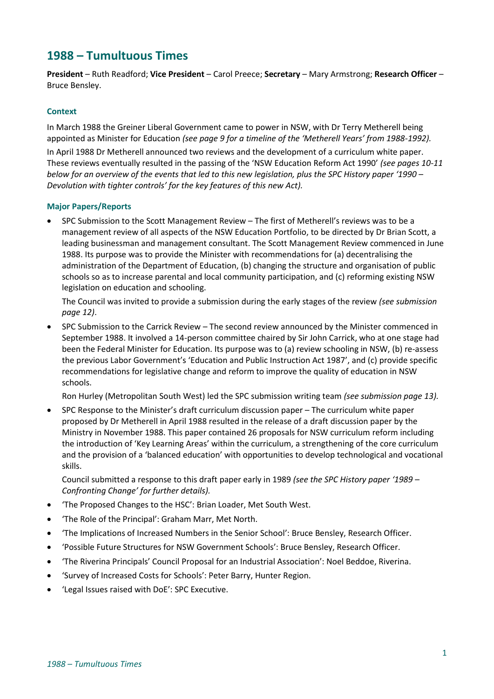# **1988 – Tumultuous Times**

**President** – Ruth Readford; **Vice President** – Carol Preece; **Secretary** – Mary Armstrong; **Research Officer** – Bruce Bensley.

# **Context**

In March 1988 the Greiner Liberal Government came to power in NSW, with Dr Terry Metherell being appointed as Minister for Education *(see page 9 for a timeline of the 'Metherell Years' from 1988-1992).*

In April 1988 Dr Metherell announced two reviews and the development of a curriculum white paper. These reviews eventually resulted in the passing of the 'NSW Education Reform Act 1990' *(see pages 10-11 below for an overview of the events that led to this new legislation, plus the SPC History paper '1990 – Devolution with tighter controls' for the key features of this new Act).*

# **Major Papers/Reports**

• SPC Submission to the Scott Management Review – The first of Metherell's reviews was to be a management review of all aspects of the NSW Education Portfolio, to be directed by Dr Brian Scott, a leading businessman and management consultant. The Scott Management Review commenced in June 1988. Its purpose was to provide the Minister with recommendations for (a) decentralising the administration of the Department of Education, (b) changing the structure and organisation of public schools so as to increase parental and local community participation, and (c) reforming existing NSW legislation on education and schooling.

The Council was invited to provide a submission during the early stages of the review *(see submission page 12)*.

• SPC Submission to the Carrick Review – The second review announced by the Minister commenced in September 1988. It involved a 14-person committee chaired by Sir John Carrick, who at one stage had been the Federal Minister for Education. Its purpose was to (a) review schooling in NSW, (b) re-assess the previous Labor Government's 'Education and Public Instruction Act 1987', and (c) provide specific recommendations for legislative change and reform to improve the quality of education in NSW schools.

Ron Hurley (Metropolitan South West) led the SPC submission writing team *(see submission page 13).*

• SPC Response to the Minister's draft curriculum discussion paper – The curriculum white paper proposed by Dr Metherell in April 1988 resulted in the release of a draft discussion paper by the Ministry in November 1988. This paper contained 26 proposals for NSW curriculum reform including the introduction of 'Key Learning Areas' within the curriculum, a strengthening of the core curriculum and the provision of a 'balanced education' with opportunities to develop technological and vocational skills.

Council submitted a response to this draft paper early in 1989 *(see the SPC History paper '1989 – Confronting Change' for further details).*

- 'The Proposed Changes to the HSC': Brian Loader, Met South West.
- 'The Role of the Principal': Graham Marr, Met North.
- 'The Implications of Increased Numbers in the Senior School': Bruce Bensley, Research Officer.
- 'Possible Future Structures for NSW Government Schools': Bruce Bensley, Research Officer.
- 'The Riverina Principals' Council Proposal for an Industrial Association': Noel Beddoe, Riverina.
- 'Survey of Increased Costs for Schools': Peter Barry, Hunter Region.
- 'Legal Issues raised with DoE': SPC Executive.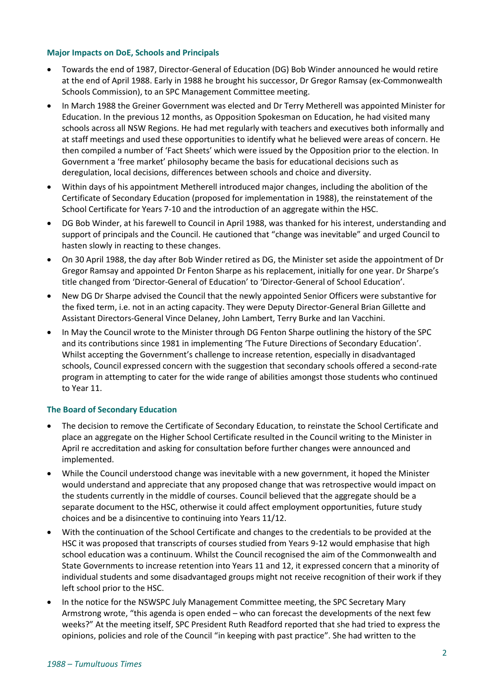## **Major Impacts on DoE, Schools and Principals**

- Towards the end of 1987, Director-General of Education (DG) Bob Winder announced he would retire at the end of April 1988. Early in 1988 he brought his successor, Dr Gregor Ramsay (ex-Commonwealth Schools Commission), to an SPC Management Committee meeting.
- In March 1988 the Greiner Government was elected and Dr Terry Metherell was appointed Minister for Education. In the previous 12 months, as Opposition Spokesman on Education, he had visited many schools across all NSW Regions. He had met regularly with teachers and executives both informally and at staff meetings and used these opportunities to identify what he believed were areas of concern. He then compiled a number of 'Fact Sheets' which were issued by the Opposition prior to the election. In Government a 'free market' philosophy became the basis for educational decisions such as deregulation, local decisions, differences between schools and choice and diversity.
- Within days of his appointment Metherell introduced major changes, including the abolition of the Certificate of Secondary Education (proposed for implementation in 1988), the reinstatement of the School Certificate for Years 7-10 and the introduction of an aggregate within the HSC.
- DG Bob Winder, at his farewell to Council in April 1988, was thanked for his interest, understanding and support of principals and the Council. He cautioned that "change was inevitable" and urged Council to hasten slowly in reacting to these changes.
- On 30 April 1988, the day after Bob Winder retired as DG, the Minister set aside the appointment of Dr Gregor Ramsay and appointed Dr Fenton Sharpe as his replacement, initially for one year. Dr Sharpe's title changed from 'Director-General of Education' to 'Director-General of School Education'.
- New DG Dr Sharpe advised the Council that the newly appointed Senior Officers were substantive for the fixed term, i.e. not in an acting capacity. They were Deputy Director-General Brian Gillette and Assistant Directors-General Vince Delaney, John Lambert, Terry Burke and Ian Vacchini.
- In May the Council wrote to the Minister through DG Fenton Sharpe outlining the history of the SPC and its contributions since 1981 in implementing 'The Future Directions of Secondary Education'. Whilst accepting the Government's challenge to increase retention, especially in disadvantaged schools, Council expressed concern with the suggestion that secondary schools offered a second-rate program in attempting to cater for the wide range of abilities amongst those students who continued to Year 11.

# **The Board of Secondary Education**

- The decision to remove the Certificate of Secondary Education, to reinstate the School Certificate and place an aggregate on the Higher School Certificate resulted in the Council writing to the Minister in April re accreditation and asking for consultation before further changes were announced and implemented.
- While the Council understood change was inevitable with a new government, it hoped the Minister would understand and appreciate that any proposed change that was retrospective would impact on the students currently in the middle of courses. Council believed that the aggregate should be a separate document to the HSC, otherwise it could affect employment opportunities, future study choices and be a disincentive to continuing into Years 11/12.
- With the continuation of the School Certificate and changes to the credentials to be provided at the HSC it was proposed that transcripts of courses studied from Years 9-12 would emphasise that high school education was a continuum. Whilst the Council recognised the aim of the Commonwealth and State Governments to increase retention into Years 11 and 12, it expressed concern that a minority of individual students and some disadvantaged groups might not receive recognition of their work if they left school prior to the HSC.
- In the notice for the NSWSPC July Management Committee meeting, the SPC Secretary Mary Armstrong wrote, "this agenda is open ended – who can forecast the developments of the next few weeks?" At the meeting itself, SPC President Ruth Readford reported that she had tried to express the opinions, policies and role of the Council "in keeping with past practice". She had written to the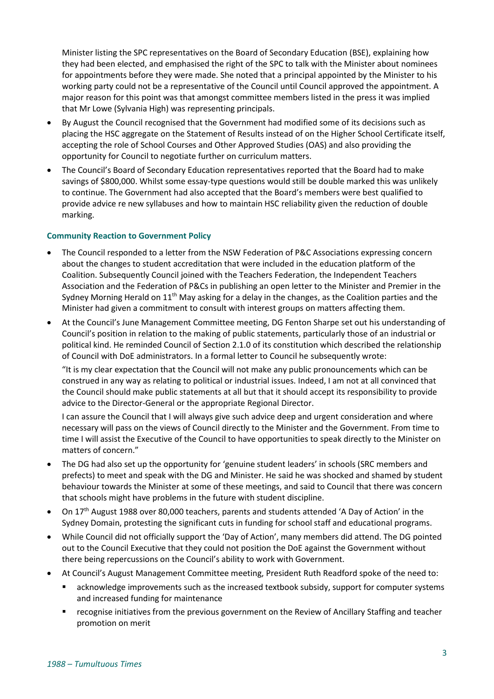Minister listing the SPC representatives on the Board of Secondary Education (BSE), explaining how they had been elected, and emphasised the right of the SPC to talk with the Minister about nominees for appointments before they were made. She noted that a principal appointed by the Minister to his working party could not be a representative of the Council until Council approved the appointment. A major reason for this point was that amongst committee members listed in the press it was implied that Mr Lowe (Sylvania High) was representing principals.

- By August the Council recognised that the Government had modified some of its decisions such as placing the HSC aggregate on the Statement of Results instead of on the Higher School Certificate itself, accepting the role of School Courses and Other Approved Studies (OAS) and also providing the opportunity for Council to negotiate further on curriculum matters.
- The Council's Board of Secondary Education representatives reported that the Board had to make savings of \$800,000. Whilst some essay-type questions would still be double marked this was unlikely to continue. The Government had also accepted that the Board's members were best qualified to provide advice re new syllabuses and how to maintain HSC reliability given the reduction of double marking.

# **Community Reaction to Government Policy**

- The Council responded to a letter from the NSW Federation of P&C Associations expressing concern about the changes to student accreditation that were included in the education platform of the Coalition. Subsequently Council joined with the Teachers Federation, the Independent Teachers Association and the Federation of P&Cs in publishing an open letter to the Minister and Premier in the Sydney Morning Herald on  $11<sup>th</sup>$  May asking for a delay in the changes, as the Coalition parties and the Minister had given a commitment to consult with interest groups on matters affecting them.
- At the Council's June Management Committee meeting, DG Fenton Sharpe set out his understanding of Council's position in relation to the making of public statements, particularly those of an industrial or political kind. He reminded Council of Section 2.1.0 of its constitution which described the relationship of Council with DoE administrators. In a formal letter to Council he subsequently wrote:

"It is my clear expectation that the Council will not make any public pronouncements which can be construed in any way as relating to political or industrial issues. Indeed, I am not at all convinced that the Council should make public statements at all but that it should accept its responsibility to provide advice to the Director-General or the appropriate Regional Director.

I can assure the Council that I will always give such advice deep and urgent consideration and where necessary will pass on the views of Council directly to the Minister and the Government. From time to time I will assist the Executive of the Council to have opportunities to speak directly to the Minister on matters of concern."

- The DG had also set up the opportunity for 'genuine student leaders' in schools (SRC members and prefects) to meet and speak with the DG and Minister. He said he was shocked and shamed by student behaviour towards the Minister at some of these meetings, and said to Council that there was concern that schools might have problems in the future with student discipline.
- On 17<sup>th</sup> August 1988 over 80,000 teachers, parents and students attended 'A Day of Action' in the Sydney Domain, protesting the significant cuts in funding for school staff and educational programs.
- While Council did not officially support the 'Day of Action', many members did attend. The DG pointed out to the Council Executive that they could not position the DoE against the Government without there being repercussions on the Council's ability to work with Government.
- At Council's August Management Committee meeting, President Ruth Readford spoke of the need to:
	- acknowledge improvements such as the increased textbook subsidy, support for computer systems and increased funding for maintenance
	- recognise initiatives from the previous government on the Review of Ancillary Staffing and teacher promotion on merit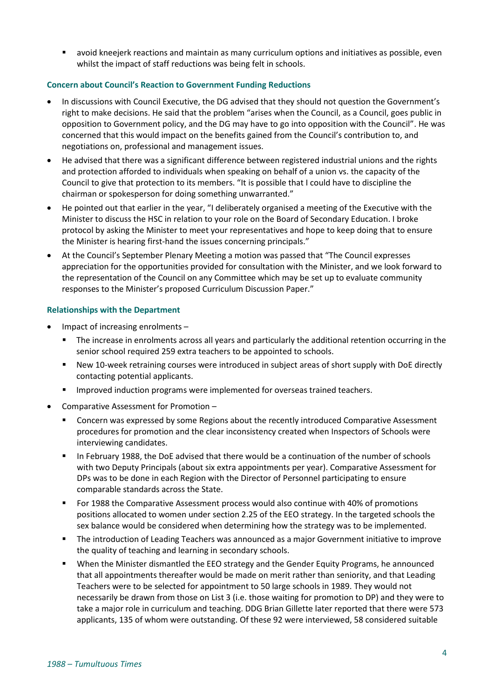▪ avoid kneejerk reactions and maintain as many curriculum options and initiatives as possible, even whilst the impact of staff reductions was being felt in schools.

## **Concern about Council's Reaction to Government Funding Reductions**

- In discussions with Council Executive, the DG advised that they should not question the Government's right to make decisions. He said that the problem "arises when the Council, as a Council, goes public in opposition to Government policy, and the DG may have to go into opposition with the Council". He was concerned that this would impact on the benefits gained from the Council's contribution to, and negotiations on, professional and management issues.
- He advised that there was a significant difference between registered industrial unions and the rights and protection afforded to individuals when speaking on behalf of a union vs. the capacity of the Council to give that protection to its members. "It is possible that I could have to discipline the chairman or spokesperson for doing something unwarranted."
- He pointed out that earlier in the year, "I deliberately organised a meeting of the Executive with the Minister to discuss the HSC in relation to your role on the Board of Secondary Education. I broke protocol by asking the Minister to meet your representatives and hope to keep doing that to ensure the Minister is hearing first-hand the issues concerning principals."
- At the Council's September Plenary Meeting a motion was passed that "The Council expresses appreciation for the opportunities provided for consultation with the Minister, and we look forward to the representation of the Council on any Committee which may be set up to evaluate community responses to the Minister's proposed Curriculum Discussion Paper."

## **Relationships with the Department**

- Impact of increasing enrolments  $-$ 
	- The increase in enrolments across all years and particularly the additional retention occurring in the senior school required 259 extra teachers to be appointed to schools.
	- New 10-week retraining courses were introduced in subject areas of short supply with DoE directly contacting potential applicants.
	- Improved induction programs were implemented for overseas trained teachers.
- Comparative Assessment for Promotion
	- Concern was expressed by some Regions about the recently introduced Comparative Assessment procedures for promotion and the clear inconsistency created when Inspectors of Schools were interviewing candidates.
	- In February 1988, the DoE advised that there would be a continuation of the number of schools with two Deputy Principals (about six extra appointments per year). Comparative Assessment for DPs was to be done in each Region with the Director of Personnel participating to ensure comparable standards across the State.
	- For 1988 the Comparative Assessment process would also continue with 40% of promotions positions allocated to women under section 2.25 of the EEO strategy. In the targeted schools the sex balance would be considered when determining how the strategy was to be implemented.
	- The introduction of Leading Teachers was announced as a major Government initiative to improve the quality of teaching and learning in secondary schools.
	- When the Minister dismantled the EEO strategy and the Gender Equity Programs, he announced that all appointments thereafter would be made on merit rather than seniority, and that Leading Teachers were to be selected for appointment to 50 large schools in 1989. They would not necessarily be drawn from those on List 3 (i.e. those waiting for promotion to DP) and they were to take a major role in curriculum and teaching. DDG Brian Gillette later reported that there were 573 applicants, 135 of whom were outstanding. Of these 92 were interviewed, 58 considered suitable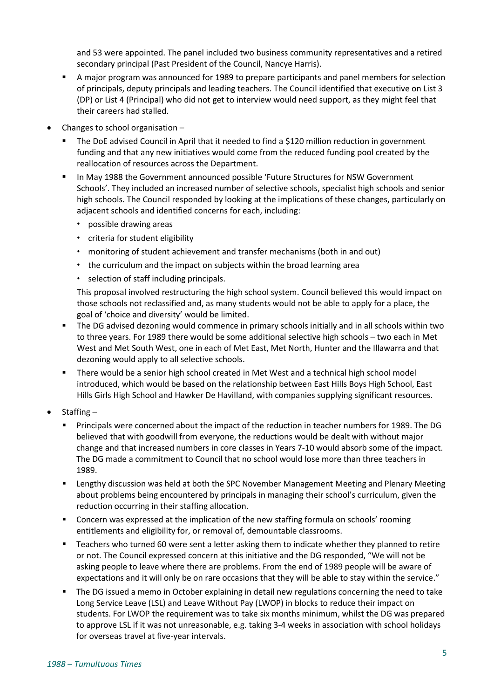and 53 were appointed. The panel included two business community representatives and a retired secondary principal (Past President of the Council, Nancye Harris).

- A major program was announced for 1989 to prepare participants and panel members for selection of principals, deputy principals and leading teachers. The Council identified that executive on List 3 (DP) or List 4 (Principal) who did not get to interview would need support, as they might feel that their careers had stalled.
- Changes to school organisation  $-$ 
	- The DoE advised Council in April that it needed to find a \$120 million reduction in government funding and that any new initiatives would come from the reduced funding pool created by the reallocation of resources across the Department.
	- In May 1988 the Government announced possible 'Future Structures for NSW Government Schools'. They included an increased number of selective schools, specialist high schools and senior high schools. The Council responded by looking at the implications of these changes, particularly on adjacent schools and identified concerns for each, including:
		- possible drawing areas
		- criteria for student eligibility
		- monitoring of student achievement and transfer mechanisms (both in and out)
		- $\cdot$  the curriculum and the impact on subjects within the broad learning area
		- selection of staff including principals.

This proposal involved restructuring the high school system. Council believed this would impact on those schools not reclassified and, as many students would not be able to apply for a place, the goal of 'choice and diversity' would be limited.

- The DG advised dezoning would commence in primary schools initially and in all schools within two to three years. For 1989 there would be some additional selective high schools – two each in Met West and Met South West, one in each of Met East, Met North, Hunter and the Illawarra and that dezoning would apply to all selective schools.
- There would be a senior high school created in Met West and a technical high school model introduced, which would be based on the relationship between East Hills Boys High School, East Hills Girls High School and Hawker De Havilland, with companies supplying significant resources.
- Staffing
	- **•** Principals were concerned about the impact of the reduction in teacher numbers for 1989. The DG believed that with goodwill from everyone, the reductions would be dealt with without major change and that increased numbers in core classes in Years 7-10 would absorb some of the impact. The DG made a commitment to Council that no school would lose more than three teachers in 1989.
	- Lengthy discussion was held at both the SPC November Management Meeting and Plenary Meeting about problems being encountered by principals in managing their school's curriculum, given the reduction occurring in their staffing allocation.
	- Concern was expressed at the implication of the new staffing formula on schools' rooming entitlements and eligibility for, or removal of, demountable classrooms.
	- Teachers who turned 60 were sent a letter asking them to indicate whether they planned to retire or not. The Council expressed concern at this initiative and the DG responded, "We will not be asking people to leave where there are problems. From the end of 1989 people will be aware of expectations and it will only be on rare occasions that they will be able to stay within the service."
	- The DG issued a memo in October explaining in detail new regulations concerning the need to take Long Service Leave (LSL) and Leave Without Pay (LWOP) in blocks to reduce their impact on students. For LWOP the requirement was to take six months minimum, whilst the DG was prepared to approve LSL if it was not unreasonable, e.g. taking 3-4 weeks in association with school holidays for overseas travel at five-year intervals.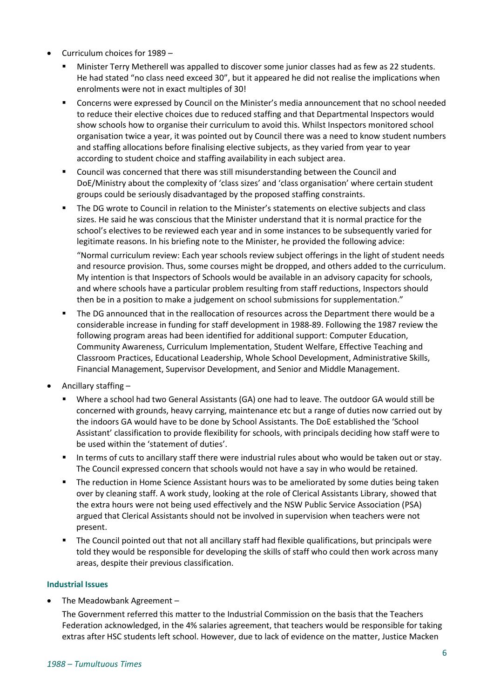- Curriculum choices for 1989
	- Minister Terry Metherell was appalled to discover some junior classes had as few as 22 students. He had stated "no class need exceed 30", but it appeared he did not realise the implications when enrolments were not in exact multiples of 30!
	- Concerns were expressed by Council on the Minister's media announcement that no school needed to reduce their elective choices due to reduced staffing and that Departmental Inspectors would show schools how to organise their curriculum to avoid this. Whilst Inspectors monitored school organisation twice a year, it was pointed out by Council there was a need to know student numbers and staffing allocations before finalising elective subjects, as they varied from year to year according to student choice and staffing availability in each subject area.
	- Council was concerned that there was still misunderstanding between the Council and DoE/Ministry about the complexity of 'class sizes' and 'class organisation' where certain student groups could be seriously disadvantaged by the proposed staffing constraints.
	- The DG wrote to Council in relation to the Minister's statements on elective subjects and class sizes. He said he was conscious that the Minister understand that it is normal practice for the school's electives to be reviewed each year and in some instances to be subsequently varied for legitimate reasons. In his briefing note to the Minister, he provided the following advice: "Normal curriculum review: Each year schools review subject offerings in the light of student needs and resource provision. Thus, some courses might be dropped, and others added to the curriculum. My intention is that Inspectors of Schools would be available in an advisory capacity for schools,
	- and where schools have a particular problem resulting from staff reductions, Inspectors should then be in a position to make a judgement on school submissions for supplementation."
	- The DG announced that in the reallocation of resources across the Department there would be a considerable increase in funding for staff development in 1988-89. Following the 1987 review the following program areas had been identified for additional support: Computer Education, Community Awareness, Curriculum Implementation, Student Welfare, Effective Teaching and Classroom Practices, Educational Leadership, Whole School Development, Administrative Skills, Financial Management, Supervisor Development, and Senior and Middle Management.
- Ancillary staffing
	- Where a school had two General Assistants (GA) one had to leave. The outdoor GA would still be concerned with grounds, heavy carrying, maintenance etc but a range of duties now carried out by the indoors GA would have to be done by School Assistants. The DoE established the 'School Assistant' classification to provide flexibility for schools, with principals deciding how staff were to be used within the 'statement of duties'.
	- In terms of cuts to ancillary staff there were industrial rules about who would be taken out or stay. The Council expressed concern that schools would not have a say in who would be retained.
	- The reduction in Home Science Assistant hours was to be ameliorated by some duties being taken over by cleaning staff. A work study, looking at the role of Clerical Assistants Library, showed that the extra hours were not being used effectively and the NSW Public Service Association (PSA) argued that Clerical Assistants should not be involved in supervision when teachers were not present.
	- The Council pointed out that not all ancillary staff had flexible qualifications, but principals were told they would be responsible for developing the skills of staff who could then work across many areas, despite their previous classification.

## **Industrial Issues**

• The Meadowbank Agreement –

The Government referred this matter to the Industrial Commission on the basis that the Teachers Federation acknowledged, in the 4% salaries agreement, that teachers would be responsible for taking extras after HSC students left school. However, due to lack of evidence on the matter, Justice Macken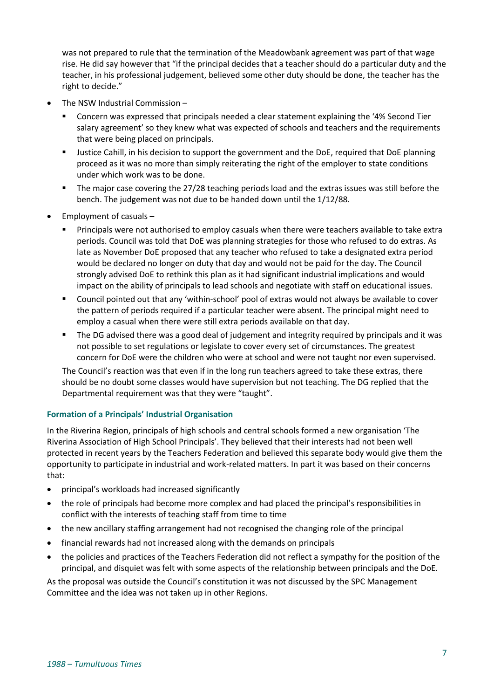was not prepared to rule that the termination of the Meadowbank agreement was part of that wage rise. He did say however that "if the principal decides that a teacher should do a particular duty and the teacher, in his professional judgement, believed some other duty should be done, the teacher has the right to decide."

- The NSW Industrial Commission
	- **•** Concern was expressed that principals needed a clear statement explaining the '4% Second Tier salary agreement' so they knew what was expected of schools and teachers and the requirements that were being placed on principals.
	- **■** Justice Cahill, in his decision to support the government and the DoE, required that DoE planning proceed as it was no more than simply reiterating the right of the employer to state conditions under which work was to be done.
	- The major case covering the 27/28 teaching periods load and the extras issues was still before the bench. The judgement was not due to be handed down until the 1/12/88.
- Employment of casuals
	- Principals were not authorised to employ casuals when there were teachers available to take extra periods. Council was told that DoE was planning strategies for those who refused to do extras. As late as November DoE proposed that any teacher who refused to take a designated extra period would be declared no longer on duty that day and would not be paid for the day. The Council strongly advised DoE to rethink this plan as it had significant industrial implications and would impact on the ability of principals to lead schools and negotiate with staff on educational issues.
	- Council pointed out that any 'within-school' pool of extras would not always be available to cover the pattern of periods required if a particular teacher were absent. The principal might need to employ a casual when there were still extra periods available on that day.
	- The DG advised there was a good deal of judgement and integrity required by principals and it was not possible to set regulations or legislate to cover every set of circumstances. The greatest concern for DoE were the children who were at school and were not taught nor even supervised.

The Council's reaction was that even if in the long run teachers agreed to take these extras, there should be no doubt some classes would have supervision but not teaching. The DG replied that the Departmental requirement was that they were "taught".

# **Formation of a Principals' Industrial Organisation**

In the Riverina Region, principals of high schools and central schools formed a new organisation 'The Riverina Association of High School Principals'. They believed that their interests had not been well protected in recent years by the Teachers Federation and believed this separate body would give them the opportunity to participate in industrial and work-related matters. In part it was based on their concerns that:

- principal's workloads had increased significantly
- the role of principals had become more complex and had placed the principal's responsibilities in conflict with the interests of teaching staff from time to time
- the new ancillary staffing arrangement had not recognised the changing role of the principal
- financial rewards had not increased along with the demands on principals
- the policies and practices of the Teachers Federation did not reflect a sympathy for the position of the principal, and disquiet was felt with some aspects of the relationship between principals and the DoE.

As the proposal was outside the Council's constitution it was not discussed by the SPC Management Committee and the idea was not taken up in other Regions.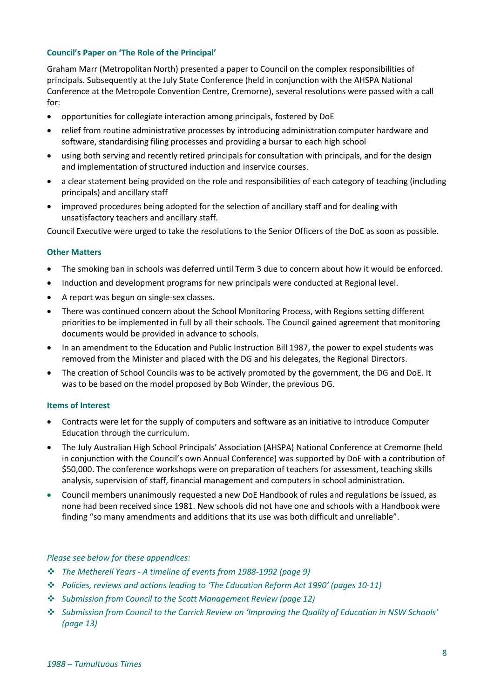## **Council's Paper on 'The Role of the Principal'**

Graham Marr (Metropolitan North) presented a paper to Council on the complex responsibilities of principals. Subsequently at the July State Conference (held in conjunction with the AHSPA National Conference at the Metropole Convention Centre, Cremorne), several resolutions were passed with a call for:

- opportunities for collegiate interaction among principals, fostered by DoE
- relief from routine administrative processes by introducing administration computer hardware and software, standardising filing processes and providing a bursar to each high school
- using both serving and recently retired principals for consultation with principals, and for the design and implementation of structured induction and inservice courses.
- a clear statement being provided on the role and responsibilities of each category of teaching (including principals) and ancillary staff
- improved procedures being adopted for the selection of ancillary staff and for dealing with unsatisfactory teachers and ancillary staff.

Council Executive were urged to take the resolutions to the Senior Officers of the DoE as soon as possible.

## **Other Matters**

- The smoking ban in schools was deferred until Term 3 due to concern about how it would be enforced.
- Induction and development programs for new principals were conducted at Regional level.
- A report was begun on single-sex classes.
- There was continued concern about the School Monitoring Process, with Regions setting different priorities to be implemented in full by all their schools. The Council gained agreement that monitoring documents would be provided in advance to schools.
- In an amendment to the Education and Public Instruction Bill 1987, the power to expel students was removed from the Minister and placed with the DG and his delegates, the Regional Directors.
- The creation of School Councils was to be actively promoted by the government, the DG and DoE. It was to be based on the model proposed by Bob Winder, the previous DG.

## **Items of Interest**

- Contracts were let for the supply of computers and software as an initiative to introduce Computer Education through the curriculum.
- The July Australian High School Principals' Association (AHSPA) National Conference at Cremorne (held in conjunction with the Council's own Annual Conference) was supported by DoE with a contribution of \$50,000. The conference workshops were on preparation of teachers for assessment, teaching skills analysis, supervision of staff, financial management and computers in school administration.
- Council members unanimously requested a new DoE Handbook of rules and regulations be issued, as none had been received since 1981. New schools did not have one and schools with a Handbook were finding "so many amendments and additions that its use was both difficult and unreliable".

## *Please see below for these appendices:*

- ❖ *The Metherell Years - A timeline of events from 1988-1992 (page 9)*
- ❖ *Policies, reviews and actions leading to 'The Education Reform Act 1990' (pages 10-11)*
- ❖ *Submission from Council to the Scott Management Review (page 12)*
- ❖ *Submission from Council to the Carrick Review on 'Improving the Quality of Education in NSW Schools' (page 13)*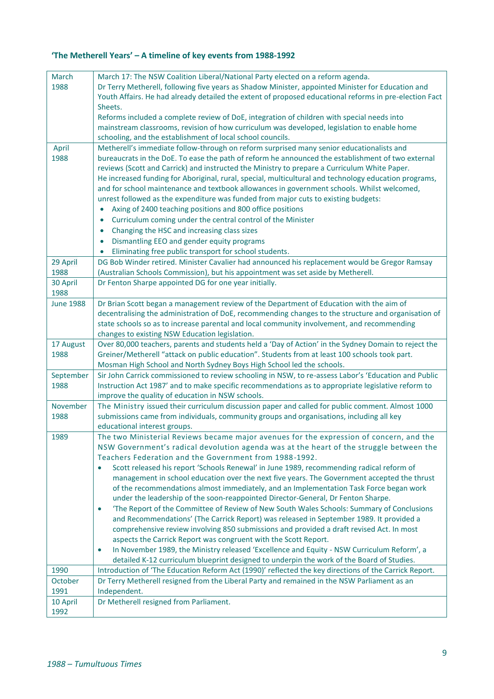# **'The Metherell Years' – A timeline of key events from 1988-1992**

| March            | March 17: The NSW Coalition Liberal/National Party elected on a reform agenda.                          |
|------------------|---------------------------------------------------------------------------------------------------------|
| 1988             | Dr Terry Metherell, following five years as Shadow Minister, appointed Minister for Education and       |
|                  | Youth Affairs. He had already detailed the extent of proposed educational reforms in pre-election Fact  |
|                  | Sheets.                                                                                                 |
|                  | Reforms included a complete review of DoE, integration of children with special needs into              |
|                  | mainstream classrooms, revision of how curriculum was developed, legislation to enable home             |
|                  | schooling, and the establishment of local school councils.                                              |
|                  |                                                                                                         |
| April<br>1988    | Metherell's immediate follow-through on reform surprised many senior educationalists and                |
|                  | bureaucrats in the DoE. To ease the path of reform he announced the establishment of two external       |
|                  | reviews (Scott and Carrick) and instructed the Ministry to prepare a Curriculum White Paper.            |
|                  | He increased funding for Aboriginal, rural, special, multicultural and technology education programs,   |
|                  | and for school maintenance and textbook allowances in government schools. Whilst welcomed,              |
|                  | unrest followed as the expenditure was funded from major cuts to existing budgets:                      |
|                  | Axing of 2400 teaching positions and 800 office positions<br>$\bullet$                                  |
|                  | Curriculum coming under the central control of the Minister<br>$\bullet$                                |
|                  | Changing the HSC and increasing class sizes<br>$\bullet$                                                |
|                  | Dismantling EEO and gender equity programs<br>$\bullet$                                                 |
|                  | Eliminating free public transport for school students.<br>$\bullet$                                     |
| 29 April         | DG Bob Winder retired. Minister Cavalier had announced his replacement would be Gregor Ramsay           |
| 1988             | (Australian Schools Commission), but his appointment was set aside by Metherell.                        |
| 30 April         | Dr Fenton Sharpe appointed DG for one year initially.                                                   |
| 1988             |                                                                                                         |
| <b>June 1988</b> | Dr Brian Scott began a management review of the Department of Education with the aim of                 |
|                  | decentralising the administration of DoE, recommending changes to the structure and organisation of     |
|                  | state schools so as to increase parental and local community involvement, and recommending              |
|                  | changes to existing NSW Education legislation.                                                          |
| 17 August        | Over 80,000 teachers, parents and students held a 'Day of Action' in the Sydney Domain to reject the    |
| 1988             | Greiner/Metherell "attack on public education". Students from at least 100 schools took part.           |
|                  | Mosman High School and North Sydney Boys High School led the schools.                                   |
| September        | Sir John Carrick commissioned to review schooling in NSW, to re-assess Labor's 'Education and Public    |
| 1988             | Instruction Act 1987' and to make specific recommendations as to appropriate legislative reform to      |
|                  | improve the quality of education in NSW schools.                                                        |
| November         | The Ministry issued their curriculum discussion paper and called for public comment. Almost 1000        |
| 1988             | submissions came from individuals, community groups and organisations, including all key                |
|                  | educational interest groups.                                                                            |
|                  |                                                                                                         |
| 1989             | The two Ministerial Reviews became major avenues for the expression of concern, and the                 |
|                  | NSW Government's radical devolution agenda was at the heart of the struggle between the                 |
|                  | Teachers Federation and the Government from 1988-1992.                                                  |
|                  | Scott released his report 'Schools Renewal' in June 1989, recommending radical reform of<br>$\bullet$   |
|                  | management in school education over the next five years. The Government accepted the thrust             |
|                  | of the recommendations almost immediately, and an Implementation Task Force began work                  |
|                  | under the leadership of the soon-reappointed Director-General, Dr Fenton Sharpe.                        |
|                  | 'The Report of the Committee of Review of New South Wales Schools: Summary of Conclusions<br>$\bullet$  |
|                  | and Recommendations' (The Carrick Report) was released in September 1989. It provided a                 |
|                  | comprehensive review involving 850 submissions and provided a draft revised Act. In most                |
|                  | aspects the Carrick Report was congruent with the Scott Report.                                         |
|                  | In November 1989, the Ministry released 'Excellence and Equity - NSW Curriculum Reform', a<br>$\bullet$ |
|                  | detailed K-12 curriculum blueprint designed to underpin the work of the Board of Studies.               |
| 1990             | Introduction of 'The Education Reform Act (1990)' reflected the key directions of the Carrick Report.   |
| October          | Dr Terry Metherell resigned from the Liberal Party and remained in the NSW Parliament as an             |
| 1991             | Independent.                                                                                            |
| 10 April         | Dr Metherell resigned from Parliament.                                                                  |
| 1992             |                                                                                                         |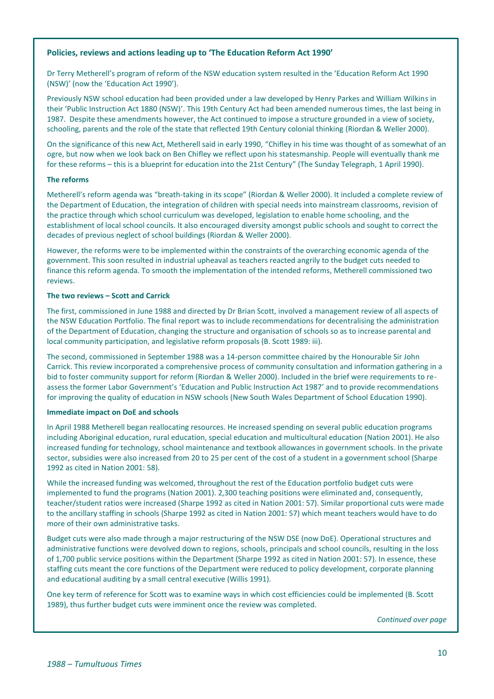#### **Policies, reviews and actions leading up to 'The Education Reform Act 1990'**

Dr Terry Metherell's program of reform of the NSW education system resulted in the 'Education Reform Act 1990 (NSW)' (now the 'Education Act 1990').

Previously NSW school education had been provided under a law developed by Henry Parkes and William Wilkins in their 'Public Instruction Act 1880 (NSW)'. This 19th Century Act had been amended numerous times, the last being in 1987. Despite these amendments however, the Act continued to impose a structure grounded in a view of society, schooling, parents and the role of the state that reflected 19th Century colonial thinking (Riordan & Weller 2000).

On the significance of this new Act, Metherell said in early 1990, "Chifley in his time was thought of as somewhat of an ogre, but now when we look back on Ben Chifley we reflect upon his statesmanship. People will eventually thank me for these reforms – this is a blueprint for education into the 21st Century" (The Sunday Telegraph, 1 April 1990).

#### **The reforms**

Metherell's reform agenda was "breath-taking in its scope" (Riordan & Weller 2000). It included a complete review of the Department of Education, the integration of children with special needs into mainstream classrooms, revision of the practice through which school curriculum was developed, legislation to enable home schooling, and the establishment of local school councils. It also encouraged diversity amongst public schools and sought to correct the decades of previous neglect of school buildings (Riordan & Weller 2000).

However, the reforms were to be implemented within the constraints of the overarching economic agenda of the government. This soon resulted in industrial upheaval as teachers reacted angrily to the budget cuts needed to finance this reform agenda. To smooth the implementation of the intended reforms, Metherell commissioned two reviews

#### **The two reviews – Scott and Carrick**

The first, commissioned in June 1988 and directed by Dr Brian Scott, involved a management review of all aspects of the NSW Education Portfolio. The final report was to include recommendations for decentralising the administration of the Department of Education, changing the structure and organisation of schools so as to increase parental and local community participation, and legislative reform proposals (B. Scott 1989: iii).

The second, commissioned in September 1988 was a 14-person committee chaired by the Honourable Sir John Carrick. This review incorporated a comprehensive process of community consultation and information gathering in a bid to foster community support for reform (Riordan & Weller 2000). Included in the brief were requirements to reassess the former Labor Government's 'Education and Public Instruction Act 1987' and to provide recommendations for improving the quality of education in NSW schools (New South Wales Department of School Education 1990).

#### **Immediate impact on DoE and schools**

In April 1988 Metherell began reallocating resources. He increased spending on several public education programs including Aboriginal education, rural education, special education and multicultural education (Nation 2001). He also increased funding for technology, school maintenance and textbook allowances in government schools. In the private sector, subsidies were also increased from 20 to 25 per cent of the cost of a student in a government school (Sharpe 1992 as cited in Nation 2001: 58).

While the increased funding was welcomed, throughout the rest of the Education portfolio budget cuts were implemented to fund the programs (Nation 2001). 2,300 teaching positions were eliminated and, consequently, teacher/student ratios were increased (Sharpe 1992 as cited in Nation 2001: 57). Similar proportional cuts were made to the ancillary staffing in schools (Sharpe 1992 as cited in Nation 2001: 57) which meant teachers would have to do more of their own administrative tasks.

Budget cuts were also made through a major restructuring of the NSW DSE (now DoE). Operational structures and administrative functions were devolved down to regions, schools, principals and school councils, resulting in the loss of 1,700 public service positions within the Department (Sharpe 1992 as cited in Nation 2001: 57). In essence, these staffing cuts meant the core functions of the Department were reduced to policy development, corporate planning and educational auditing by a small central executive (Willis 1991).

One key term of reference for Scott was to examine ways in which cost efficiencies could be implemented (B. Scott 1989), thus further budget cuts were imminent once the review was completed.

*Continued over page*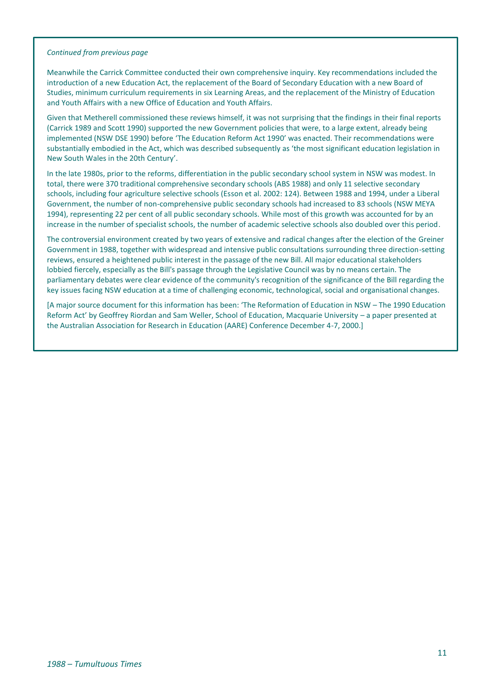#### *Continued from previous page*

Meanwhile the Carrick Committee conducted their own comprehensive inquiry. Key recommendations included the introduction of a new Education Act, the replacement of the Board of Secondary Education with a new Board of Studies, minimum curriculum requirements in six Learning Areas, and the replacement of the Ministry of Education and Youth Affairs with a new Office of Education and Youth Affairs.

Given that Metherell commissioned these reviews himself, it was not surprising that the findings in their final reports (Carrick 1989 and Scott 1990) supported the new Government policies that were, to a large extent, already being implemented (NSW DSE 1990) before 'The Education Reform Act 1990' was enacted. Their recommendations were substantially embodied in the Act, which was described subsequently as 'the most significant education legislation in New South Wales in the 20th Century'.

In the late 1980s, prior to the reforms, differentiation in the public secondary school system in NSW was modest. In total, there were 370 traditional comprehensive secondary schools (ABS 1988) and only 11 selective secondary schools, including four agriculture selective schools (Esson et al. 2002: 124). Between 1988 and 1994, under a Liberal Government, the number of non-comprehensive public secondary schools had increased to 83 schools (NSW MEYA 1994), representing 22 per cent of all public secondary schools. While most of this growth was accounted for by an increase in the number of specialist schools, the number of academic selective schools also doubled over this period.

The controversial environment created by two years of extensive and radical changes after the election of the Greiner Government in 1988, together with widespread and intensive public consultations surrounding three direction-setting reviews, ensured a heightened public interest in the passage of the new Bill. All major educational stakeholders lobbied fiercely, especially as the Bill's passage through the Legislative Council was by no means certain. The parliamentary debates were clear evidence of the community's recognition of the significance of the Bill regarding the key issues facing NSW education at a time of challenging economic, technological, social and organisational changes.

[A major source document for this information has been: 'The Reformation of Education in NSW – The 1990 Education Reform Act' by Geoffrey Riordan and Sam Weller, School of Education, Macquarie University – a paper presented at the Australian Association for Research in Education (AARE) Conference December 4-7, 2000.]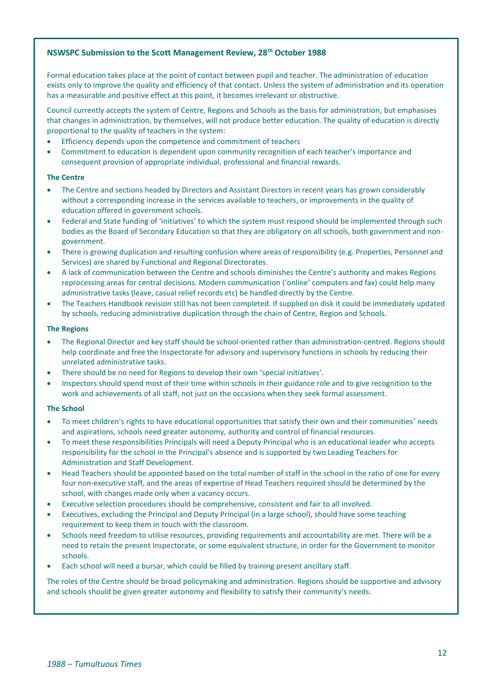#### **NSWSPC Submission to the Scott Management Review, 28th October 1988**

Formal education takes place at the point of contact between pupil and teacher. The administration of education exists only to improve the quality and efficiency of that contact. Unless the system of administration and its operation has a measurable and positive effect at this point, it becomes irrelevant or obstructive.

Council currently accepts the system of Centre, Regions and Schools as the basis for administration, but emphasises that changes in administration, by themselves, will not produce better education. The quality of education is directly proportional to the quality of teachers in the system:

- Efficiency depends upon the competence and commitment of teachers
- Commitment to education is dependent upon community recognition of each teacher's importance and consequent provision of appropriate individual, professional and financial rewards.

#### **The Centre**

- The Centre and sections headed by Directors and Assistant Directors in recent years has grown considerably without a corresponding increase in the services available to teachers, or improvements in the quality of education offered in government schools.
- Federal and State funding of 'initiatives' to which the system must respond should be implemented through such bodies as the Board of Secondary Education so that they are obligatory on all schools, both government and nongovernment.
- There is growing duplication and resulting confusion where areas of responsibility (e.g. Properties, Personnel and Services) are shared by Functional and Regional Directorates.
- A lack of communication between the Centre and schools diminishes the Centre's authority and makes Regions reprocessing areas for central decisions. Modern communication ('online' computers and fax) could help many administrative tasks (leave, casual relief records etc) be handled directly by the Centre.
- The Teachers Handbook revision still has not been completed. If supplied on disk it could be immediately updated by schools, reducing administrative duplication through the chain of Centre, Region and Schools.

#### **The Regions**

- The Regional Director and key staff should be school-oriented rather than administration-centred. Regions should help coordinate and free the Inspectorate for advisory and supervisory functions in schools by reducing their unrelated administrative tasks.
- There should be no need for Regions to develop their own 'special initiatives'.
- Inspectors should spend most of their time within schools in their guidance role and to give recognition to the work and achievements of all staff, not just on the occasions when they seek formal assessment.

#### **The School**

- To meet children's rights to have educational opportunities that satisfy their own and their communities' needs and aspirations, schools need greater autonomy, authority and control of financial resources.
- To meet these responsibilities Principals will need a Deputy Principal who is an educational leader who accepts responsibility for the school in the Principal's absence and is supported by two Leading Teachers for Administration and Staff Development.
- Head Teachers should be appointed based on the total number of staff in the school in the ratio of one for every four non-executive staff, and the areas of expertise of Head Teachers required should be determined by the school, with changes made only when a vacancy occurs.
- Executive selection procedures should be comprehensive, consistent and fair to all involved.
- Executives, excluding the Principal and Deputy Principal (in a large school), should have some teaching requirement to keep them in touch with the classroom.
- Schools need freedom to utilise resources, providing requirements and accountability are met. There will be a need to retain the present Inspectorate, or some equivalent structure, in order for the Government to monitor schools.
- Each school will need a bursar, which could be filled by training present ancillary staff.

The roles of the Centre should be broad policymaking and administration. Regions should be supportive and advisory and schools should be given greater autonomy and flexibility to satisfy their community's needs.